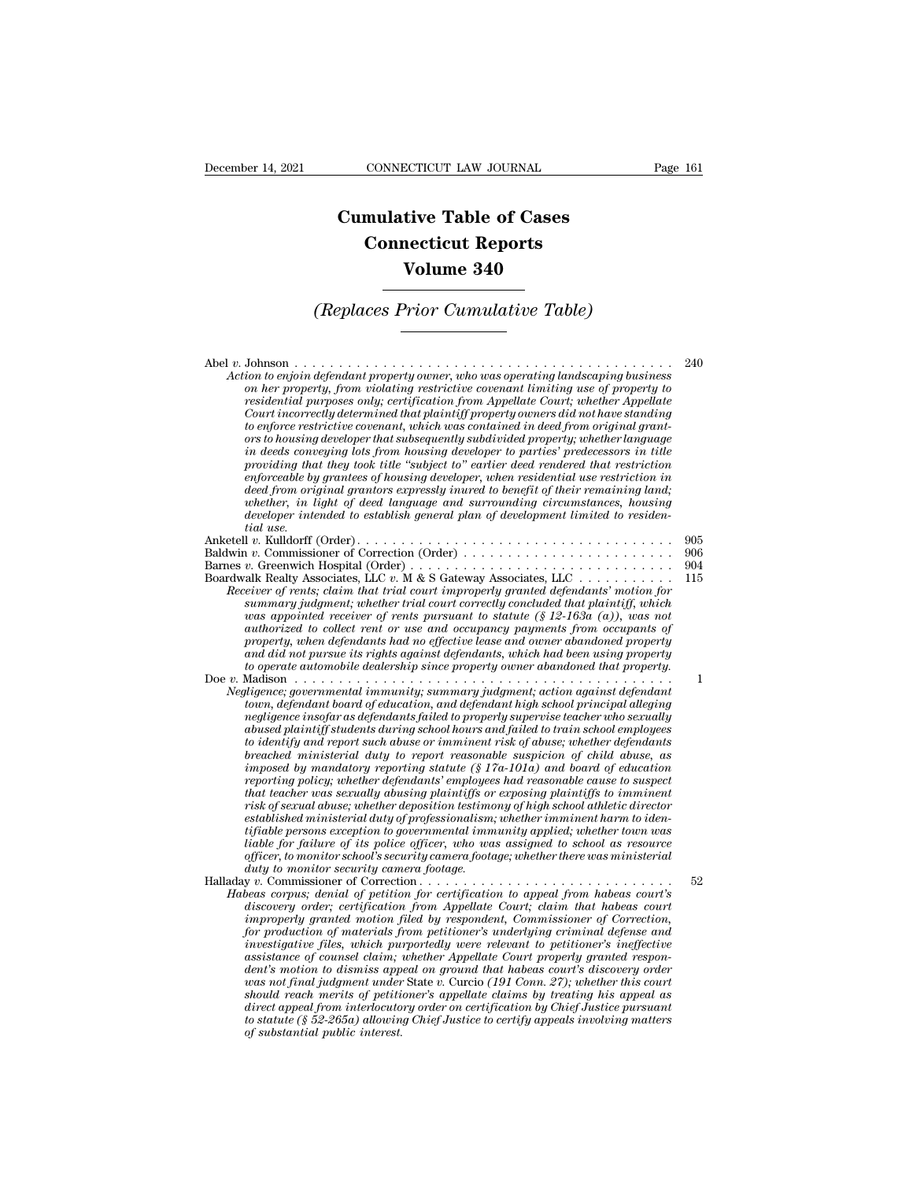## **CONNECTICUT LAW JOURNAL**<br> **Cumulative Table of Cases<br>
Connecticut Reports CONNECTICUT LAW JOURNAL**<br> **CONNECTICUT LAW JOURNAL**<br> **CONNECTICUT Reports<br>
Volume 340 ECTICUT LAW JOURNAL**<br> **Volume 340**<br> **Volume 340**<br> **Volume 340 Cumulative Table of Cases<br>
Connecticut Reports<br>
Volume 340<br>
(Replaces Prior Cumulative Table)**

## *on her property, from violating restrictive covenant limiting use of property to*

| (Replaces Prior Cumulative Table)                                                                                                                                                                                                                                                                                                                                                                                                                                                                                                                                                                                                                                                                                                                                                                                                                                                                                                                                                                                                                                                                                                                                                                                                                               |                          |
|-----------------------------------------------------------------------------------------------------------------------------------------------------------------------------------------------------------------------------------------------------------------------------------------------------------------------------------------------------------------------------------------------------------------------------------------------------------------------------------------------------------------------------------------------------------------------------------------------------------------------------------------------------------------------------------------------------------------------------------------------------------------------------------------------------------------------------------------------------------------------------------------------------------------------------------------------------------------------------------------------------------------------------------------------------------------------------------------------------------------------------------------------------------------------------------------------------------------------------------------------------------------|--------------------------|
| Action to enjoin defendant property owner, who was operating landscaping business<br>on her property, from violating restrictive covenant limiting use of property to<br>residential purposes only; certification from Appellate Court; whether Appellate<br>Court incorrectly determined that plaintiff property owners did not have standing<br>to enforce restrictive covenant, which was contained in deed from original grant-<br>ors to housing developer that subsequently subdivided property; whether language<br>in deeds conveying lots from housing developer to parties' predecessors in title<br>providing that they took title "subject to" earlier deed rendered that restriction<br>enforceable by grantees of housing developer, when residential use restriction in<br>deed from original grantors expressly inured to benefit of their remaining land;<br>whether, in light of deed language and surrounding circumstances, housing<br>developer intended to establish general plan of development limited to residen-<br>tial use.                                                                                                                                                                                                         | 240                      |
| Baldwin v. Commissioner of Correction (Order)<br>Boardwalk Realty Associates, LLC v. M & S Gateway Associates, LLC<br>Receiver of rents; claim that trial court improperly granted defendants' motion for<br>summary judgment; whether trial court correctly concluded that plaintiff, which<br>was appointed receiver of rents pursuant to statute $(\S 12-163a (a))$ , was not<br>authorized to collect rent or use and occupancy payments from occupants of<br>property, when defendants had no effective lease and owner abandoned property<br>and did not pursue its rights against defendants, which had been using property<br>to operate automobile dealership since property owner abandoned that property.                                                                                                                                                                                                                                                                                                                                                                                                                                                                                                                                            | 905<br>906<br>904<br>115 |
| Negligence; governmental immunity; summary judgment; action against defendant<br>town, defendant board of education, and defendant high school principal alleging<br>negligence insofar as defendants failed to properly supervise teacher who sexually<br>abused plaintiff students during school hours and failed to train school employees<br>to identify and report such abuse or imminent risk of abuse; whether defendants<br>breached ministerial duty to report reasonable suspicion of child abuse, as<br>imposed by mandatory reporting statute $(\S 17a-101a)$ and board of education<br>reporting policy; whether defendants' employees had reasonable cause to suspect<br>that teacher was sexually abusing plaintiffs or exposing plaintiffs to imminent<br>risk of sexual abuse; whether deposition testimony of high school athletic director<br>established ministerial duty of professionalism; whether imminent harm to iden-<br><i>tifiable persons exception to governmental immunity applied; whether town was</i><br>liable for failure of its police officer, who was assigned to school as resource<br>officer, to monitor school's security camera footage; whether there was ministerial<br>duty to monitor security camera footage. | 1                        |
| Habeas corpus; denial of petition for certification to appeal from habeas court's<br>discovery order; certification from Appellate Court; claim that habeas court<br>improperly granted motion filed by respondent, Commissioner of Correction,<br>for production of materials from petitioner's underlying criminal defense and<br>investigative files, which purportedly were relevant to petitioner's ineffective<br>assistance of counsel claim; whether Appellate Court properly granted respon-<br>dent's motion to dismiss appeal on ground that habeas court's discovery order<br>was not final judgment under State v. Curcio (191 Conn. 27); whether this court<br>should reach merits of petitioner's appellate claims by treating his appeal as<br>direct appeal from interlocutory order on certification by Chief Justice pursuant<br>to statute (§ 52-265a) allowing Chief Justice to certify appeals involving matters<br>of substantial public interest.                                                                                                                                                                                                                                                                                       | 52                       |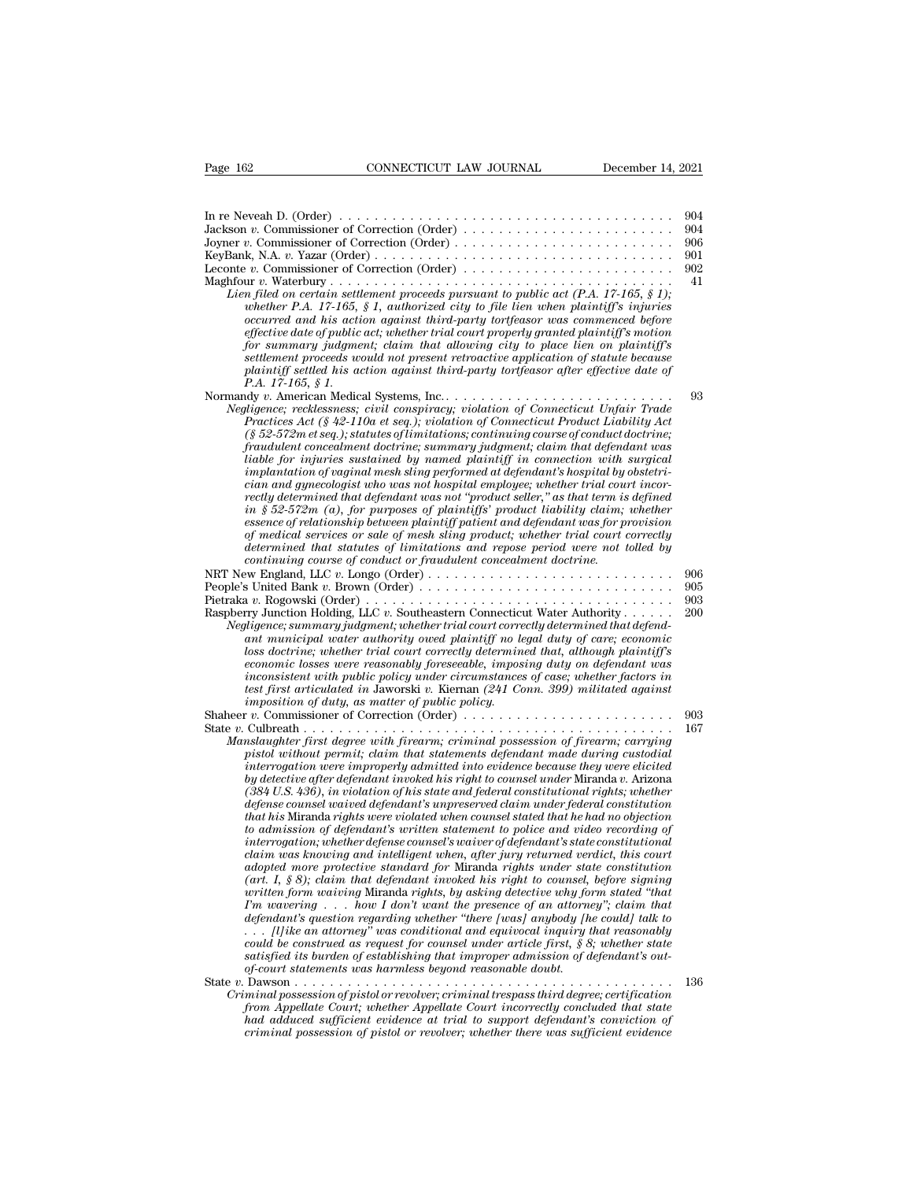| Page 162<br>CONNECTICUT LAW JOURNAL<br>December 14, 2021                                                                                                                                                                                                                                                                                                                                                                                                                                                                                                                                                                                                                                                                                                                                                                                                                                                                                                                                                                                                                                                                                                                                                                                                                                                                                                                                                                                                                                                                                                                                                                          |            |
|-----------------------------------------------------------------------------------------------------------------------------------------------------------------------------------------------------------------------------------------------------------------------------------------------------------------------------------------------------------------------------------------------------------------------------------------------------------------------------------------------------------------------------------------------------------------------------------------------------------------------------------------------------------------------------------------------------------------------------------------------------------------------------------------------------------------------------------------------------------------------------------------------------------------------------------------------------------------------------------------------------------------------------------------------------------------------------------------------------------------------------------------------------------------------------------------------------------------------------------------------------------------------------------------------------------------------------------------------------------------------------------------------------------------------------------------------------------------------------------------------------------------------------------------------------------------------------------------------------------------------------------|------------|
|                                                                                                                                                                                                                                                                                                                                                                                                                                                                                                                                                                                                                                                                                                                                                                                                                                                                                                                                                                                                                                                                                                                                                                                                                                                                                                                                                                                                                                                                                                                                                                                                                                   |            |
|                                                                                                                                                                                                                                                                                                                                                                                                                                                                                                                                                                                                                                                                                                                                                                                                                                                                                                                                                                                                                                                                                                                                                                                                                                                                                                                                                                                                                                                                                                                                                                                                                                   | 904        |
| Jackson v. Commissioner of Correction (Order)<br>Joyner v. Commissioner of Correction (Order)                                                                                                                                                                                                                                                                                                                                                                                                                                                                                                                                                                                                                                                                                                                                                                                                                                                                                                                                                                                                                                                                                                                                                                                                                                                                                                                                                                                                                                                                                                                                     | 904<br>906 |
|                                                                                                                                                                                                                                                                                                                                                                                                                                                                                                                                                                                                                                                                                                                                                                                                                                                                                                                                                                                                                                                                                                                                                                                                                                                                                                                                                                                                                                                                                                                                                                                                                                   | 901        |
|                                                                                                                                                                                                                                                                                                                                                                                                                                                                                                                                                                                                                                                                                                                                                                                                                                                                                                                                                                                                                                                                                                                                                                                                                                                                                                                                                                                                                                                                                                                                                                                                                                   | 902<br>41  |
| Lien filed on certain settlement proceeds pursuant to public act $(P.A. 17-165, § 1)$ :<br>whether P.A. 17-165, § 1, authorized city to file lien when plaintiff's injuries<br>occurred and his action against third-party tortfeasor was commenced before<br>effective date of public act; whether trial court properly granted plaintiff's motion<br>for summary judgment; claim that allowing city to place lien on plaintiff's                                                                                                                                                                                                                                                                                                                                                                                                                                                                                                                                                                                                                                                                                                                                                                                                                                                                                                                                                                                                                                                                                                                                                                                                |            |
| settlement proceeds would not present retroactive application of statute because<br>plaintiff settled his action against third-party tortfeasor after effective date of<br>P.A. 17-165, § 1.                                                                                                                                                                                                                                                                                                                                                                                                                                                                                                                                                                                                                                                                                                                                                                                                                                                                                                                                                                                                                                                                                                                                                                                                                                                                                                                                                                                                                                      |            |
| Normandy v. American Medical Systems, Inc                                                                                                                                                                                                                                                                                                                                                                                                                                                                                                                                                                                                                                                                                                                                                                                                                                                                                                                                                                                                                                                                                                                                                                                                                                                                                                                                                                                                                                                                                                                                                                                         | 93         |
| Negligence; recklessness; civil conspiracy; violation of Connecticut Unfair Trade<br>Practices Act (§ 42-110a et seq.); violation of Connecticut Product Liability Act<br>$(\S 52-572m$ et seq.); statutes of limitations; continuing course of conduct doctrine;<br>fraudulent concealment doctrine; summary judgment; claim that defendant was<br>liable for injuries sustained by named plaintiff in connection with surgical<br>implantation of vaginal mesh sling performed at defendant's hospital by obstetri-<br>cian and qunecologist who was not hospital employee; whether trial court incor-<br>rectly determined that defendant was not "product seller," as that term is defined                                                                                                                                                                                                                                                                                                                                                                                                                                                                                                                                                                                                                                                                                                                                                                                                                                                                                                                                    |            |
| in § 52-572m (a), for purposes of plaintiffs' product liability claim; whether                                                                                                                                                                                                                                                                                                                                                                                                                                                                                                                                                                                                                                                                                                                                                                                                                                                                                                                                                                                                                                                                                                                                                                                                                                                                                                                                                                                                                                                                                                                                                    |            |
| essence of relationship between plaintiff patient and defendant was for provision<br>of medical services or sale of mesh sling product; whether trial court correctly<br>determined that statutes of limitations and repose period were not tolled by                                                                                                                                                                                                                                                                                                                                                                                                                                                                                                                                                                                                                                                                                                                                                                                                                                                                                                                                                                                                                                                                                                                                                                                                                                                                                                                                                                             |            |
| continuing course of conduct or fraudulent concealment doctrine.                                                                                                                                                                                                                                                                                                                                                                                                                                                                                                                                                                                                                                                                                                                                                                                                                                                                                                                                                                                                                                                                                                                                                                                                                                                                                                                                                                                                                                                                                                                                                                  | 906        |
| People's United Bank v. Brown (Order)                                                                                                                                                                                                                                                                                                                                                                                                                                                                                                                                                                                                                                                                                                                                                                                                                                                                                                                                                                                                                                                                                                                                                                                                                                                                                                                                                                                                                                                                                                                                                                                             | 905        |
| Pietraka v. Rogowski (Order) $\ldots \ldots \ldots \ldots \ldots \ldots \ldots \ldots \ldots \ldots \ldots \ldots \ldots$<br>Raspberry Junction Holding, LLC v. Southeastern Connecticut Water Authority                                                                                                                                                                                                                                                                                                                                                                                                                                                                                                                                                                                                                                                                                                                                                                                                                                                                                                                                                                                                                                                                                                                                                                                                                                                                                                                                                                                                                          | 903<br>200 |
| Negligence; summary judgment; whether trial court correctly determined that defend-<br>ant municipal water authority owed plaintiff no legal duty of care; economic<br>loss doctrine; whether trial court correctly determined that, although plaintiff's<br>economic losses were reasonably foreseeable, imposing duty on defendant was<br>inconsistent with public policy under circumstances of case; whether factors in<br>test first articulated in Jaworski v. Kiernan $(241 \text{ Com. } 399)$ militated against<br><i>imposition of duty, as matter of public policy.</i>                                                                                                                                                                                                                                                                                                                                                                                                                                                                                                                                                                                                                                                                                                                                                                                                                                                                                                                                                                                                                                                |            |
| Shaheer v. Commissioner of Correction (Order) $\dots \dots \dots \dots \dots \dots \dots \dots \dots$                                                                                                                                                                                                                                                                                                                                                                                                                                                                                                                                                                                                                                                                                                                                                                                                                                                                                                                                                                                                                                                                                                                                                                                                                                                                                                                                                                                                                                                                                                                             | 903<br>167 |
| Manslaughter first degree with firearm; criminal possession of firearm; carrying<br>pistol without permit; claim that statements defendant made during custodial<br>interrogation were improperly admitted into evidence because they were elicited<br>by detective after defendant invoked his right to counsel under Miranda v. Arizona<br>(384 U.S. 436), in violation of his state and federal constitutional rights; whether<br>defense counsel waived defendant's unpreserved claim under federal constitution<br>that his Miranda rights were violated when counsel stated that he had no objection<br>to admission of defendant's written statement to police and video recording of<br>interrogation; whether defense counsel's waiver of defendant's state constitutional<br>claim was knowing and intelligent when, after jury returned verdict, this court<br>adopted more protective standard for Miranda rights under state constitution<br>(art. I, § 8); claim that defendant invoked his right to counsel, before signing<br>written form waiving Miranda rights, by asking detective why form stated "that<br>$\Gamma m$ wavering  how I don't want the presence of an attorney"; claim that<br>defendant's question regarding whether "there [was] anybody [he could] talk to<br>$\ldots$ [l] ike an attorney" was conditional and equivocal inquiry that reasonably<br>could be construed as request for counsel under article first, $\S 8$ ; whether state<br>satisfied its burden of establishing that improper admission of defendant's out-<br>of-court statements was harmless beyond reasonable doubt. |            |
| $\cdot$ $\cdot$ $\cdot$ $\cdot$ $\cdot$ $\cdot$ $\cdot$<br>.<br>Criminal possession of pistol or revolver; criminal trespass third degree; certification                                                                                                                                                                                                                                                                                                                                                                                                                                                                                                                                                                                                                                                                                                                                                                                                                                                                                                                                                                                                                                                                                                                                                                                                                                                                                                                                                                                                                                                                          | 136        |
| from Appellate Court; whether Appellate Court incorrectly concluded that state<br>had adduced sufficient evidence at trial to support defendant's conviction of<br>criminal possession of pistol or revolver; whether there was sufficient evidence                                                                                                                                                                                                                                                                                                                                                                                                                                                                                                                                                                                                                                                                                                                                                                                                                                                                                                                                                                                                                                                                                                                                                                                                                                                                                                                                                                               |            |